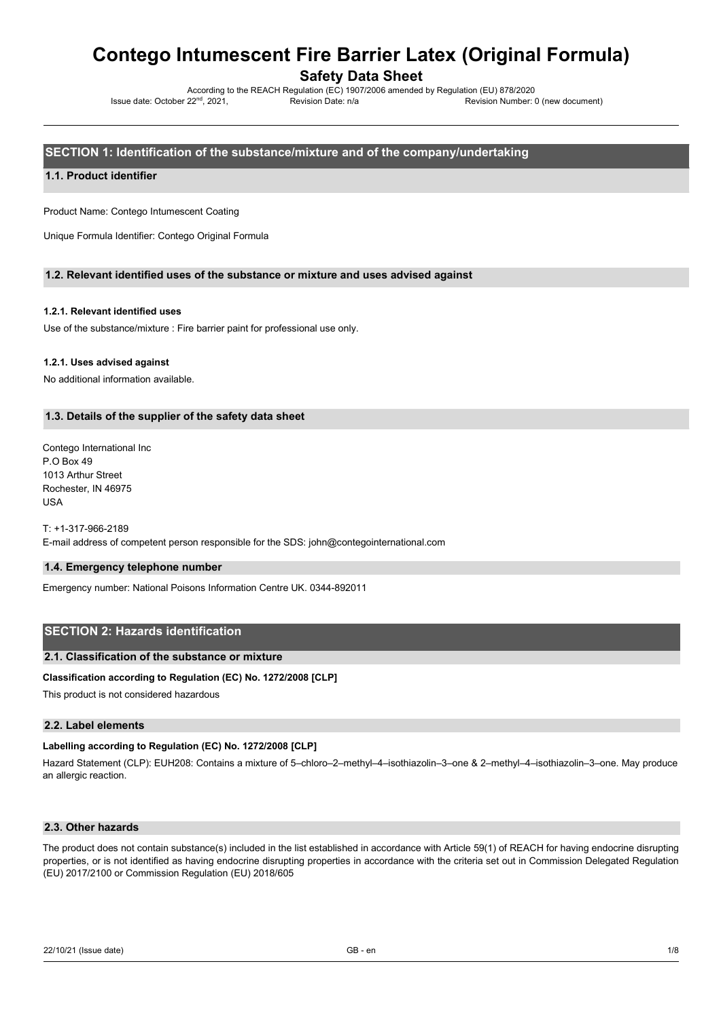Safety Data Sheet

According to the REACH Regulation (EC) 1907/2006 amended by Regulation (EU) 878/2020 Issue date: October 22nd, 2021, Revision Date: n/a Revision Number: 0 (new document)

SECTION 1: Identification of the substance/mixture and of the company/undertaking

## 1.1. Product identifier

Product Name: Contego Intumescent Coating

Unique Formula Identifier: Contego Original Formula

## 1.2. Relevant identified uses of the substance or mixture and uses advised against

## 1.2.1. Relevant identified uses

Use of the substance/mixture : Fire barrier paint for professional use only.

## 1.2.1. Uses advised against

No additional information available.

## 1.3. Details of the supplier of the safety data sheet

Contego International Inc P.O Box 49 1013 Arthur Street Rochester, IN 46975 USA

T: +1-317-966-2189

E-mail address of competent person responsible for the SDS: john@contegointernational.com

## 1.4. Emergency telephone number

Emergency number: National Poisons Information Centre UK. 0344-892011

# SECTION 2: Hazards identification

## 2.1. Classification of the substance or mixture

## Classification according to Regulation (EC) No. 1272/2008 [CLP]

This product is not considered hazardous

## 2.2. Label elements

## Labelling according to Regulation (EC) No. 1272/2008 [CLP]

Hazard Statement (CLP): EUH208: Contains a mixture of 5–chloro–2–methyl–4–isothiazolin–3–one & 2–methyl–4–isothiazolin–3–one. May produce an allergic reaction.

# 2.3. Other hazards

The product does not contain substance(s) included in the list established in accordance with Article 59(1) of REACH for having endocrine disrupting properties, or is not identified as having endocrine disrupting properties in accordance with the criteria set out in Commission Delegated Regulation (EU) 2017/2100 or Commission Regulation (EU) 2018/605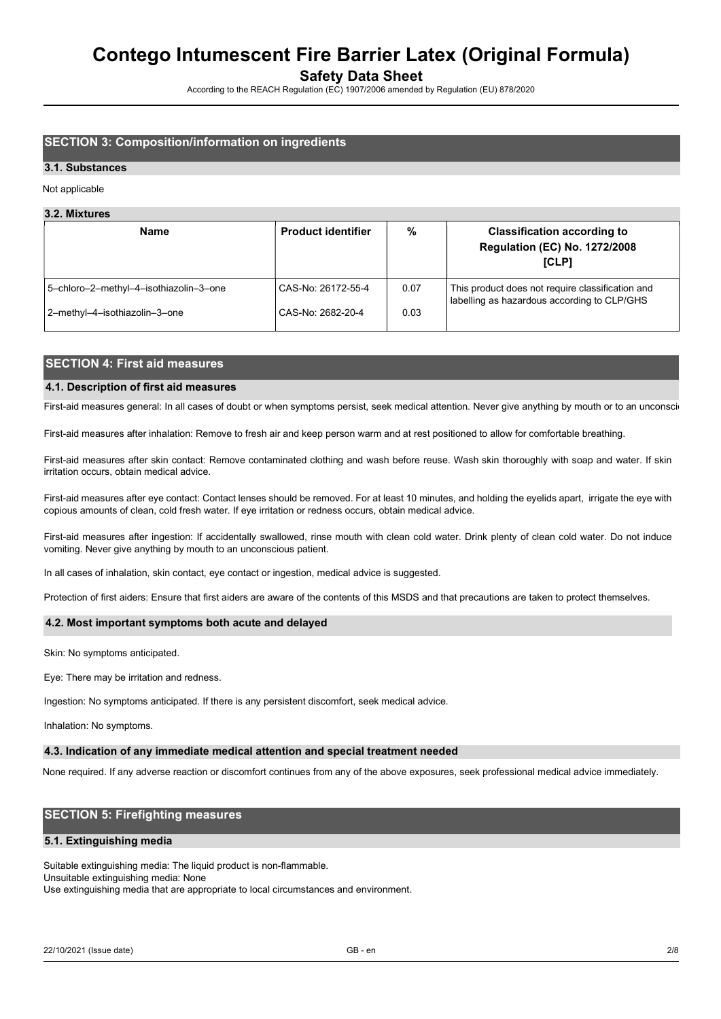Safety Data Sheet

According to the REACH Regulation (EC) 1907/2006 amended by Regulation (EU) 878/2020

# SECTION 3: Composition/information on ingredients

## 3.1. Substances

#### Not applicable

### 3.2. Mixtures

| <b>Name</b>                            | <b>Product identifier</b> | $\%$ | <b>Classification according to</b><br><b>Regulation (EC) No. 1272/2008</b><br>[CLP]             |  |
|----------------------------------------|---------------------------|------|-------------------------------------------------------------------------------------------------|--|
| 5-chloro-2-methyl-4-isothiazolin-3-one | CAS-No: 26172-55-4        | 0.07 | This product does not require classification and<br>labelling as hazardous according to CLP/GHS |  |
| 2-methyl-4-isothiazolin-3-one          | CAS-No: 2682-20-4         | 0.03 |                                                                                                 |  |

# SECTION 4: First aid measures

## 4.1. Description of first aid measures

First-aid measures general: In all cases of doubt or when symptoms persist, seek medical attention. Never give anything by mouth or to an unconscious

First-aid measures after inhalation: Remove to fresh air and keep person warm and at rest positioned to allow for comfortable breathing.

First-aid measures after skin contact: Remove contaminated clothing and wash before reuse. Wash skin thoroughly with soap and water. If skin irritation occurs, obtain medical advice.

First-aid measures after eye contact: Contact lenses should be removed. For at least 10 minutes, and holding the eyelids apart, irrigate the eye with copious amounts of clean, cold fresh water. If eye irritation or redness occurs, obtain medical advice.

First-aid measures after ingestion: If accidentally swallowed, rinse mouth with clean cold water. Drink plenty of clean cold water. Do not induce vomiting. Never give anything by mouth to an unconscious patient.

In all cases of inhalation, skin contact, eye contact or ingestion, medical advice is suggested.

Protection of first aiders: Ensure that first aiders are aware of the contents of this MSDS and that precautions are taken to protect themselves.

### 4.2. Most important symptoms both acute and delayed

Skin: No symptoms anticipated.

Eye: There may be irritation and redness.

Ingestion: No symptoms anticipated. If there is any persistent discomfort, seek medical advice.

Inhalation: No symptoms.

#### 4.3. Indication of any immediate medical attention and special treatment needed

None required. If any adverse reaction or discomfort continues from any of the above exposures, seek professional medical advice immediately.

## SECTION 5: Firefighting measures

## 5.1. Extinguishing media

Suitable extinguishing media: The liquid product is non-flammable. Unsuitable extinguishing media: None

Use extinguishing media that are appropriate to local circumstances and environment.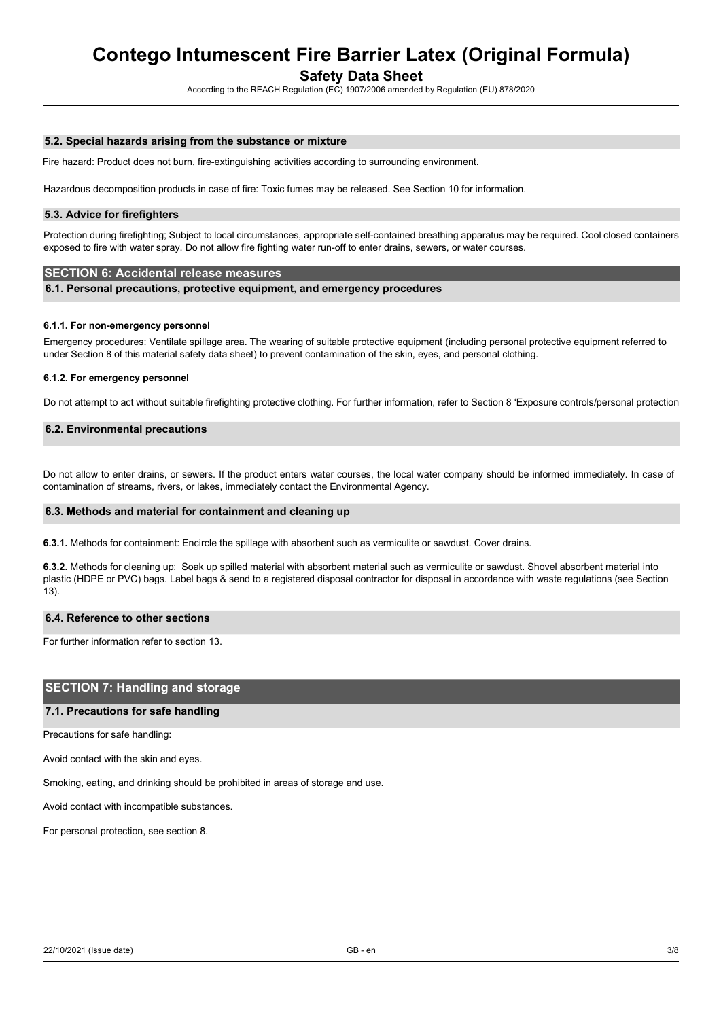Safety Data Sheet

According to the REACH Regulation (EC) 1907/2006 amended by Regulation (EU) 878/2020

## 5.2. Special hazards arising from the substance or mixture

Fire hazard: Product does not burn, fire-extinguishing activities according to surrounding environment.

Hazardous decomposition products in case of fire: Toxic fumes may be released. See Section 10 for information.

### 5.3. Advice for firefighters

Protection during firefighting; Subject to local circumstances, appropriate self-contained breathing apparatus may be required. Cool closed containers exposed to fire with water spray. Do not allow fire fighting water run-off to enter drains, sewers, or water courses.

## SECTION 6: Accidental release measures

6.1. Personal precautions, protective equipment, and emergency procedures

### 6.1.1. For non-emergency personnel

Emergency procedures: Ventilate spillage area. The wearing of suitable protective equipment (including personal protective equipment referred to under Section 8 of this material safety data sheet) to prevent contamination of the skin, eyes, and personal clothing.

### 6.1.2. For emergency personnel

Do not attempt to act without suitable firefighting protective clothing. For further information, refer to Section 8 'Exposure controls/personal protection

## 6.2. Environmental precautions

Do not allow to enter drains, or sewers. If the product enters water courses, the local water company should be informed immediately. In case of contamination of streams, rivers, or lakes, immediately contact the Environmental Agency.

### 6.3. Methods and material for containment and cleaning up

6.3.1. Methods for containment: Encircle the spillage with absorbent such as vermiculite or sawdust. Cover drains.

6.3.2. Methods for cleaning up: Soak up spilled material with absorbent material such as vermiculite or sawdust. Shovel absorbent material into plastic (HDPE or PVC) bags. Label bags & send to a registered disposal contractor for disposal in accordance with waste regulations (see Section 13).

### 6.4. Reference to other sections

For further information refer to section 13.

## SECTION 7: Handling and storage

### 7.1. Precautions for safe handling

Precautions for safe handling:

Avoid contact with the skin and eyes.

Smoking, eating, and drinking should be prohibited in areas of storage and use.

Avoid contact with incompatible substances.

For personal protection, see section 8.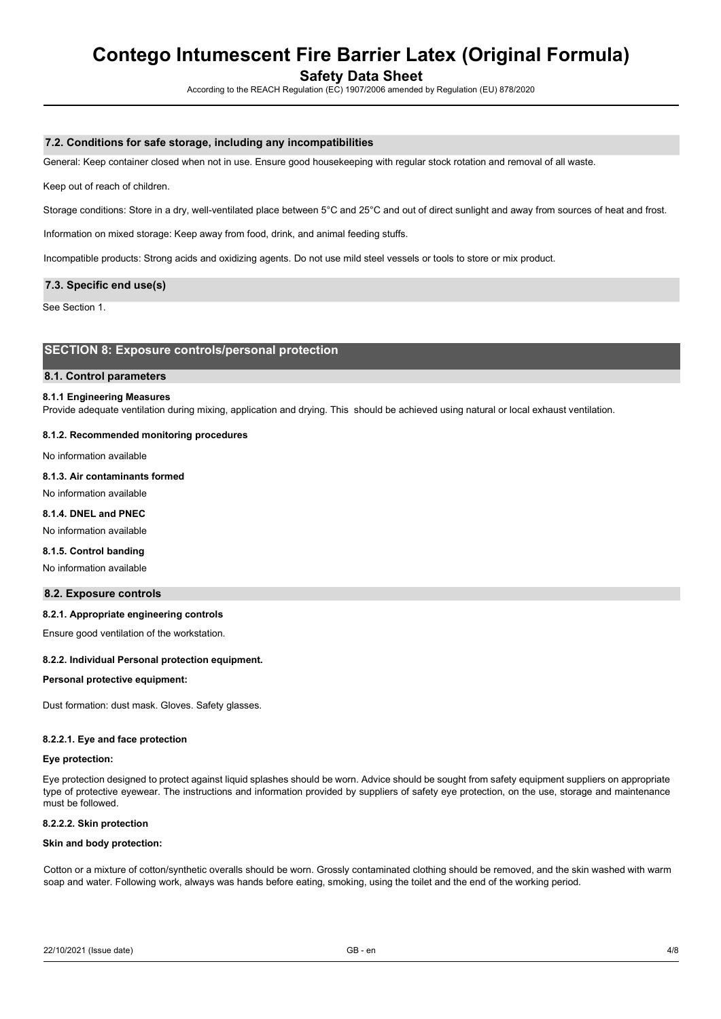Safety Data Sheet

According to the REACH Regulation (EC) 1907/2006 amended by Regulation (EU) 878/2020

## 7.2. Conditions for safe storage, including any incompatibilities

General: Keep container closed when not in use. Ensure good housekeeping with regular stock rotation and removal of all waste.

Keep out of reach of children.

Storage conditions: Store in a dry, well-ventilated place between 5°C and 25°C and out of direct sunlight and away from sources of heat and frost.

Information on mixed storage: Keep away from food, drink, and animal feeding stuffs.

Incompatible products: Strong acids and oxidizing agents. Do not use mild steel vessels or tools to store or mix product.

## 7.3. Specific end use(s)

See Section 1.

# SECTION 8: Exposure controls/personal protection

## 8.1. Control parameters

### 8.1.1 Engineering Measures

Provide adequate ventilation during mixing, application and drying. This should be achieved using natural or local exhaust ventilation.

### 8.1.2. Recommended monitoring procedures

No information available

## 8.1.3. Air contaminants formed

No information available

## 8.1.4. DNEL and PNEC

No information available

## 8.1.5. Control banding

No information available

### 8.2. Exposure controls

## 8.2.1. Appropriate engineering controls

Ensure good ventilation of the workstation.

#### 8.2.2. Individual Personal protection equipment.

#### Personal protective equipment:

Dust formation: dust mask. Gloves. Safety glasses.

#### 8.2.2.1. Eye and face protection

### Eye protection:

Eye protection designed to protect against liquid splashes should be worn. Advice should be sought from safety equipment suppliers on appropriate type of protective eyewear. The instructions and information provided by suppliers of safety eye protection, on the use, storage and maintenance must be followed.

#### 8.2.2.2. Skin protection

## Skin and body protection:

Cotton or a mixture of cotton/synthetic overalls should be worn. Grossly contaminated clothing should be removed, and the skin washed with warm soap and water. Following work, always was hands before eating, smoking, using the toilet and the end of the working period.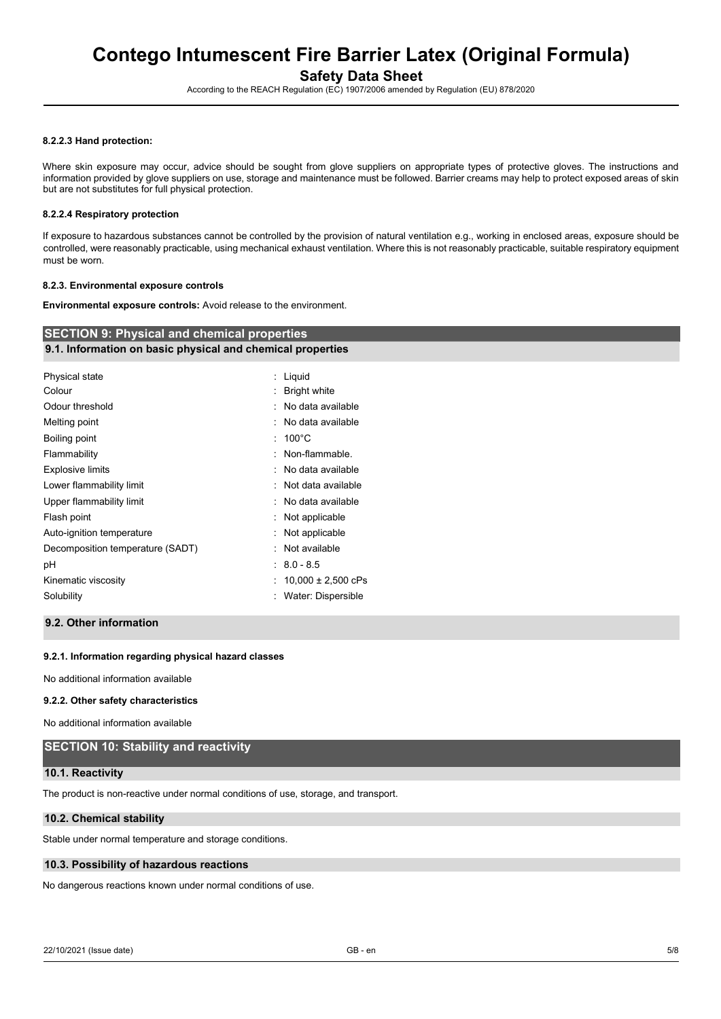Safety Data Sheet

According to the REACH Regulation (EC) 1907/2006 amended by Regulation (EU) 878/2020

## 8.2.2.3 Hand protection:

Where skin exposure may occur, advice should be sought from glove suppliers on appropriate types of protective gloves. The instructions and information provided by glove suppliers on use, storage and maintenance must be followed. Barrier creams may help to protect exposed areas of skin but are not substitutes for full physical protection.

## 8.2.2.4 Respiratory protection

If exposure to hazardous substances cannot be controlled by the provision of natural ventilation e.g., working in enclosed areas, exposure should be controlled, were reasonably practicable, using mechanical exhaust ventilation. Where this is not reasonably practicable, suitable respiratory equipment must be worn.

## 8.2.3. Environmental exposure controls

Environmental exposure controls: Avoid release to the environment.

| <b>SECTION 9: Physical and chemical properties</b>         |                           |  |  |  |  |  |
|------------------------------------------------------------|---------------------------|--|--|--|--|--|
| 9.1. Information on basic physical and chemical properties |                           |  |  |  |  |  |
| Physical state                                             | Liquid<br>÷.              |  |  |  |  |  |
| Colour                                                     | <b>Bright white</b><br>t. |  |  |  |  |  |
| Odour threshold                                            | : No data available       |  |  |  |  |  |
| Melting point                                              | : No data available       |  |  |  |  |  |
| Boiling point                                              | $: 100^{\circ}$ C         |  |  |  |  |  |
| Flammability                                               | : Non-flammable.          |  |  |  |  |  |
| <b>Explosive limits</b>                                    | : No data available       |  |  |  |  |  |
| Lower flammability limit                                   | : Not data available      |  |  |  |  |  |
| Upper flammability limit                                   | : No data available       |  |  |  |  |  |
| Flash point                                                | : Not applicable          |  |  |  |  |  |
| Auto-ignition temperature                                  | Not applicable            |  |  |  |  |  |
| Decomposition temperature (SADT)                           | : Not available           |  |  |  |  |  |
| рH                                                         | $: 8.0 - 8.5$             |  |  |  |  |  |
| Kinematic viscosity                                        | : $10,000 \pm 2,500$ cPs  |  |  |  |  |  |
| Solubility                                                 | Water: Dispersible        |  |  |  |  |  |
|                                                            |                           |  |  |  |  |  |

# 9.2. Other information

## 9.2.1. Information regarding physical hazard classes

No additional information available

### 9.2.2. Other safety characteristics

No additional information available

# SECTION 10: Stability and reactivity

### 10.1. Reactivity

The product is non-reactive under normal conditions of use, storage, and transport.

### 10.2. Chemical stability

Stable under normal temperature and storage conditions.

## 10.3. Possibility of hazardous reactions

No dangerous reactions known under normal conditions of use.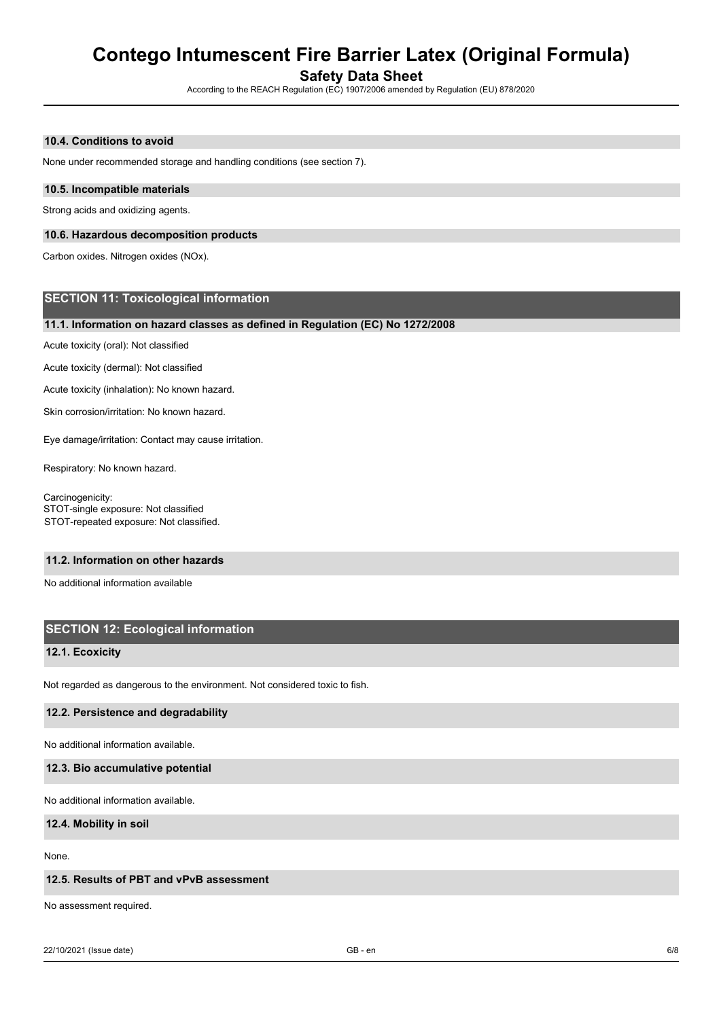Safety Data Sheet

According to the REACH Regulation (EC) 1907/2006 amended by Regulation (EU) 878/2020

## 10.4. Conditions to avoid

None under recommended storage and handling conditions (see section 7).

## 10.5. Incompatible materials

Strong acids and oxidizing agents.

## 10.6. Hazardous decomposition products

Carbon oxides. Nitrogen oxides (NOx).

# SECTION 11: Toxicological information

## 11.1. Information on hazard classes as defined in Regulation (EC) No 1272/2008

Acute toxicity (oral): Not classified

Acute toxicity (dermal): Not classified

Acute toxicity (inhalation): No known hazard.

Skin corrosion/irritation: No known hazard.

Eye damage/irritation: Contact may cause irritation.

Respiratory: No known hazard.

Carcinogenicity: STOT-single exposure: Not classified STOT-repeated exposure: Not classified.

### 11.2. Information on other hazards

No additional information available

# SECTION 12: Ecological information

## 12.1. Ecoxicity

Not regarded as dangerous to the environment. Not considered toxic to fish.

## 12.2. Persistence and degradability

No additional information available.

### 12.3. Bio accumulative potential

No additional information available.

## 12.4. Mobility in soil

None.

## 12.5. Results of PBT and vPvB assessment

No assessment required.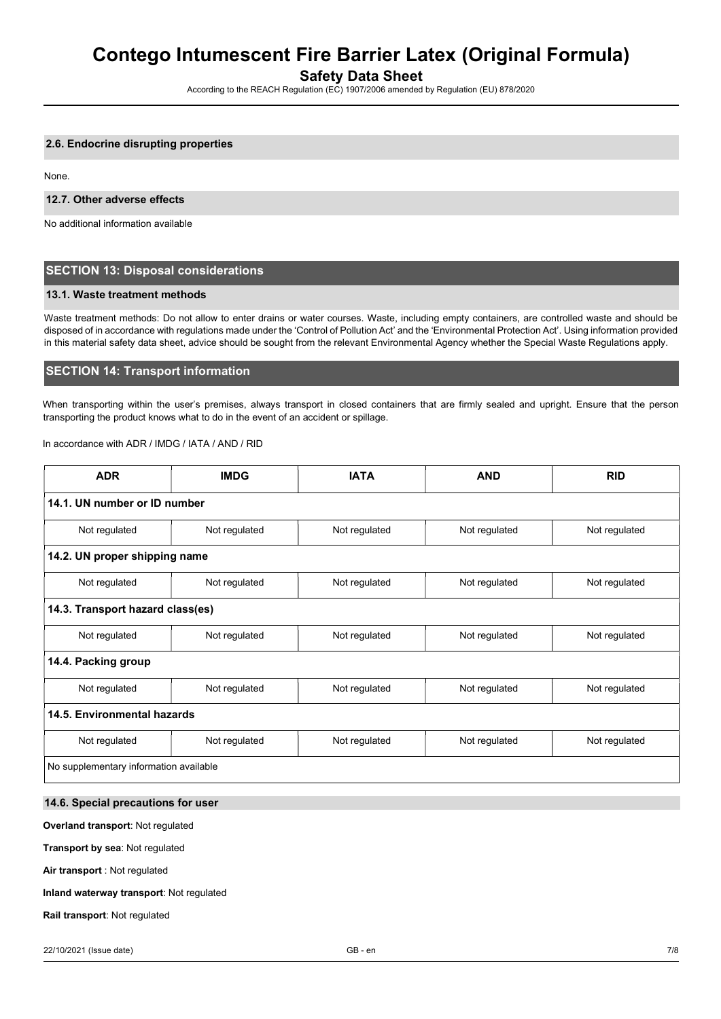Safety Data Sheet

According to the REACH Regulation (EC) 1907/2006 amended by Regulation (EU) 878/2020

## 2.6. Endocrine disrupting properties

None.

## 12.7. Other adverse effects

No additional information available

## SECTION 13: Disposal considerations

### 13.1. Waste treatment methods

Waste treatment methods: Do not allow to enter drains or water courses. Waste, including empty containers, are controlled waste and should be disposed of in accordance with regulations made under the 'Control of Pollution Act' and the 'Environmental Protection Act'. Using information provided in this material safety data sheet, advice should be sought from the relevant Environmental Agency whether the Special Waste Regulations apply.

## SECTION 14: Transport information

When transporting within the user's premises, always transport in closed containers that are firmly sealed and upright. Ensure that the person transporting the product knows what to do in the event of an accident or spillage.

## In accordance with ADR / IMDG / IATA / AND / RID

| <b>ADR</b>                             | <b>IMDG</b>   | <b>IATA</b>   | <b>AND</b>    | <b>RID</b>    |  |  |  |  |
|----------------------------------------|---------------|---------------|---------------|---------------|--|--|--|--|
| 14.1. UN number or ID number           |               |               |               |               |  |  |  |  |
| Not regulated                          | Not regulated | Not regulated | Not regulated | Not regulated |  |  |  |  |
| 14.2. UN proper shipping name          |               |               |               |               |  |  |  |  |
| Not regulated                          | Not regulated | Not regulated | Not regulated | Not regulated |  |  |  |  |
| 14.3. Transport hazard class(es)       |               |               |               |               |  |  |  |  |
| Not regulated                          | Not regulated | Not regulated | Not regulated | Not regulated |  |  |  |  |
| 14.4. Packing group                    |               |               |               |               |  |  |  |  |
| Not regulated                          | Not regulated | Not regulated | Not regulated | Not regulated |  |  |  |  |
| 14.5. Environmental hazards            |               |               |               |               |  |  |  |  |
| Not regulated                          | Not regulated | Not regulated | Not regulated | Not regulated |  |  |  |  |
| No supplementary information available |               |               |               |               |  |  |  |  |

## 14.6. Special precautions for user

### Overland transport: Not regulated

Transport by sea: Not regulated

Air transport : Not regulated

## Inland waterway transport: Not regulated

Rail transport: Not regulated